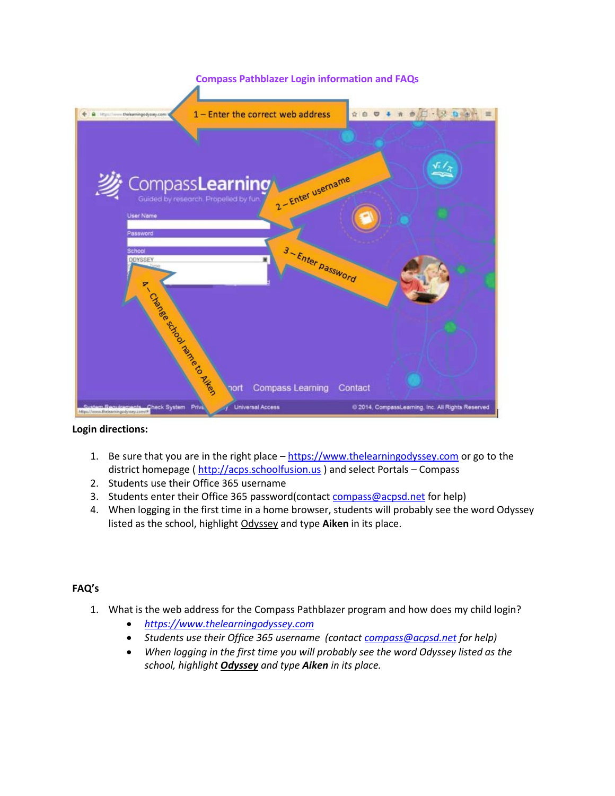

## **Login directions:**

- 1. Be sure that you are in the right place [https://www.thelearningodyssey.com](https://www.thelearningodyssey.com/) or go to the district homepage ( [http://acps.schoolfusion.us](http://acps.schoolfusion.us/) ) and select Portals - Compass
- 2. Students use their Office 365 username
- 3. Students enter their Office 365 password(contact [compass@acpsd.net](mailto:compass@acpsd.net) for help)
- 4. When logging in the first time in a home browser, students will probably see the word Odyssey listed as the school, highlight Odyssey and type **Aiken** in its place.

## **FAQ's**

- 1. What is the web address for the Compass Pathblazer program and how does my child login?
	- *[https://www.thelearningodyssey.com](https://www.thelearningodyssey.com/)*
	- *Students use their Office 365 username (contact [compass@acpsd.net](mailto:compass@acpsd.net) for help)*
	- *When logging in the first time you will probably see the word Odyssey listed as the school, highlight Odyssey and type Aiken in its place.*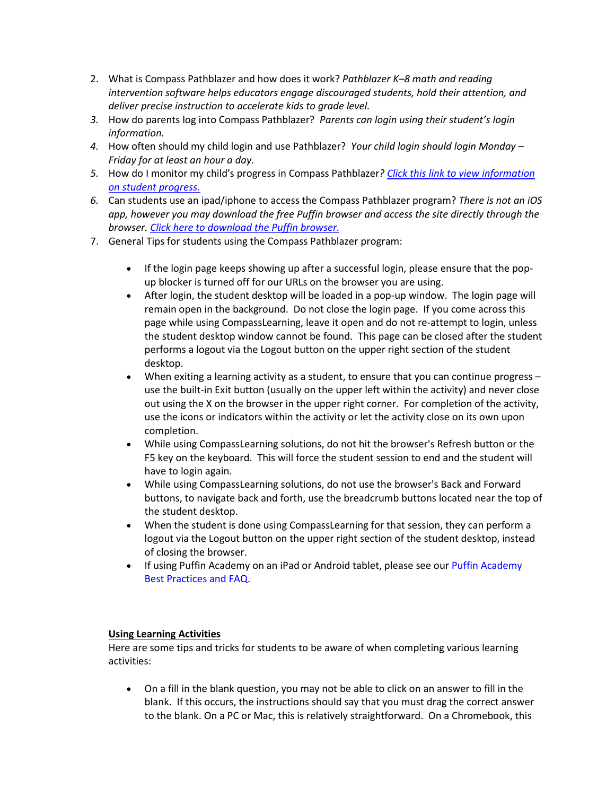- 2. What is Compass Pathblazer and how does it work? *Pathblazer K–8 math and reading intervention software helps educators engage discouraged students, hold their attention, and deliver precise instruction to accelerate kids to grade level.*
- *3.* How do parents log into Compass Pathblazer? *Parents can login using their student's login information.*
- *4.* How often should my child login and use Pathblazer? *Your child login should login Monday – Friday for at least an hour a day.*
- *5.* How do I monitor my child's progress in Compass Pathblazer*? [Click this link to view information](https://compasslearning2.mindtouch.us/Texas_SSI/02Teachers/1Fast_Start/1Student_Experience/5Student_Portfolio)  [on student progress.](https://compasslearning2.mindtouch.us/Texas_SSI/02Teachers/1Fast_Start/1Student_Experience/5Student_Portfolio)*
- *6.* Can students use an ipad/iphone to access the Compass Pathblazer program? *There is not an iOS app, however you may download the free Puffin browser and access the site directly through the browser[. Click here to download the Puffin browser.](https://itunes.apple.com/us/app/puffin-web-browser-free/id472937654?mt=8)*
- 7. General Tips for students using the Compass Pathblazer program:
	- If the login page keeps showing up after a successful login, please ensure that the popup blocker is turned off for our URLs on the browser you are using.
	- After login, the student desktop will be loaded in a pop-up window. The login page will remain open in the background. Do not close the login page. If you come across this page while using CompassLearning, leave it open and do not re-attempt to login, unless the student desktop window cannot be found. This page can be closed after the student performs a logout via the Logout button on the upper right section of the student desktop.
	- When exiting a learning activity as a student, to ensure that you can continue progress use the built-in Exit button (usually on the upper left within the activity) and never close out using the X on the browser in the upper right corner. For completion of the activity, use the icons or indicators within the activity or let the activity close on its own upon completion.
	- While using CompassLearning solutions, do not hit the browser's Refresh button or the F5 key on the keyboard. This will force the student session to end and the student will have to login again.
	- While using CompassLearning solutions, do not use the browser's Back and Forward buttons, to navigate back and forth, use the breadcrumb buttons located near the top of the student desktop.
	- When the student is done using CompassLearning for that session, they can perform a logout via the Logout button on the upper right section of the student desktop, instead of closing the browser.
	- If using Puffin Academy on an iPad or Android tablet, please see our [Puffin Academy](https://compasslearning2.mindtouch.us/Puffin_Academy_Best_Practices_and_FAQ)  [Best Practices and FAQ.](https://compasslearning2.mindtouch.us/Puffin_Academy_Best_Practices_and_FAQ)

## **Using Learning Activities**

Here are some tips and tricks for students to be aware of when completing various learning activities:

• On a fill in the blank question, you may not be able to click on an answer to fill in the blank. If this occurs, the instructions should say that you must drag the correct answer to the blank. On a PC or Mac, this is relatively straightforward. On a Chromebook, this